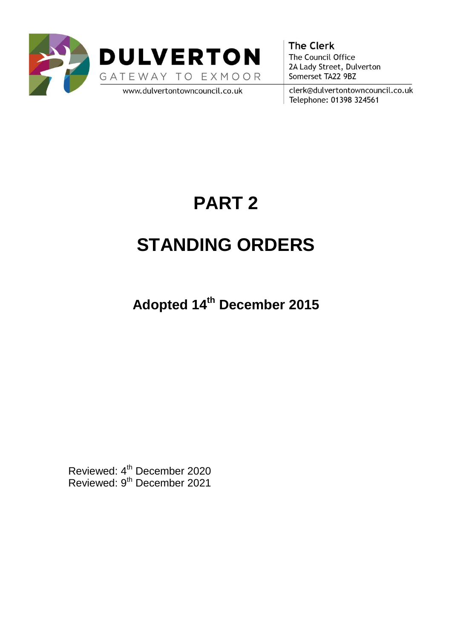



www.dulvertontowncouncil.co.uk

**The Clerk** The Council Office 2A Lady Street, Dulverton Somerset TA22 9BZ

clerk@dulvertontowncouncil.co.uk Telephone: 01398 324561

# **PART 2**

# **STANDING ORDERS**

**Adopted 14th December 2015**

Reviewed: 4<sup>th</sup> December 2020 Reviewed: 9<sup>th</sup> December 2021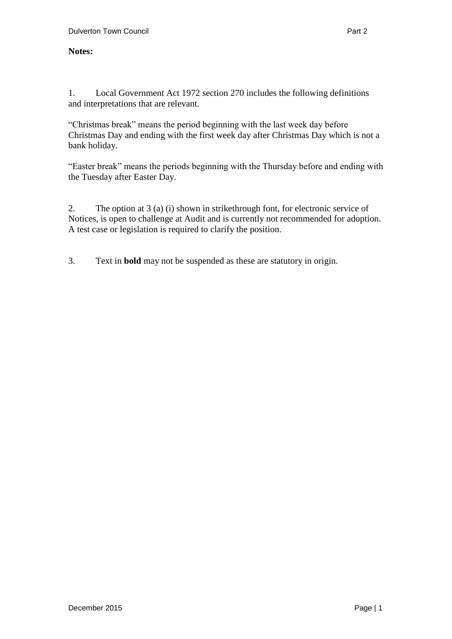#### **Notes:**

1. Local Government Act 1972 section 270 includes the following definitions and interpretations that are relevant.

"Christmas break" means the period beginning with the last week day before Christmas Day and ending with the first week day after Christmas Day which is not a bank holiday.

"Easter break" means the periods beginning with the Thursday before and ending with the Tuesday after Easter Day.

2. The option at 3 (a) (i) shown in strikethrough font, for electronic service of Notices, is open to challenge at Audit and is currently not recommended for adoption. A test case or legislation is required to clarify the position.

3. Text in **bold** may not be suspended as these are statutory in origin.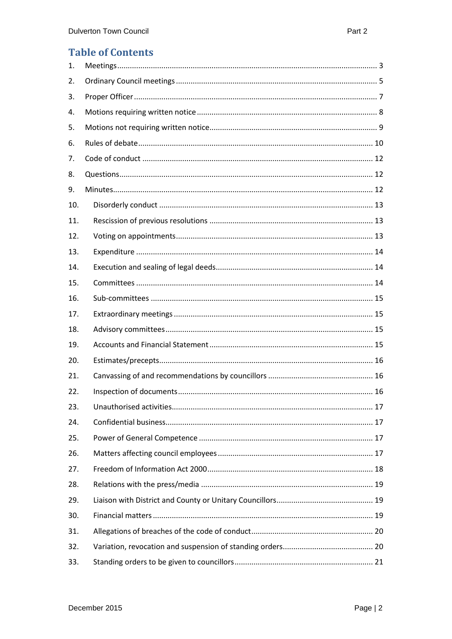#### **Table of Contents**

| 1.  |  |
|-----|--|
| 2.  |  |
| 3.  |  |
| 4.  |  |
| 5.  |  |
| 6.  |  |
| 7.  |  |
| 8.  |  |
| 9.  |  |
| 10. |  |
| 11. |  |
| 12. |  |
| 13. |  |
| 14. |  |
| 15. |  |
| 16. |  |
| 17. |  |
| 18. |  |
| 19. |  |
| 20. |  |
| 21. |  |
| 22. |  |
| 23. |  |
| 24. |  |
| 25. |  |
| 26. |  |
| 27. |  |
| 28. |  |
| 29. |  |
| 30. |  |
| 31. |  |
| 32. |  |
| 33. |  |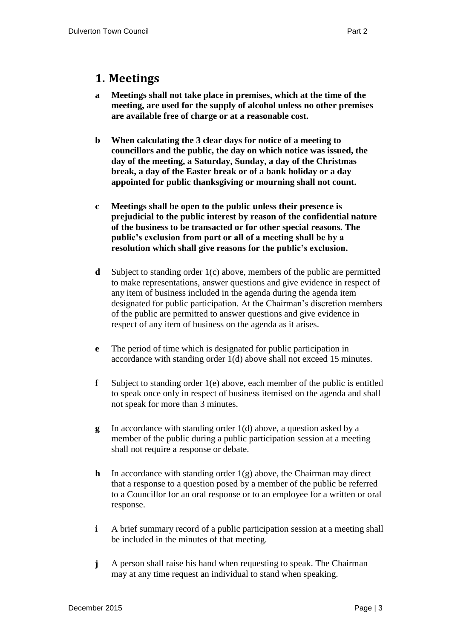#### <span id="page-3-0"></span>**1. Meetings**

- **a Meetings shall not take place in premises, which at the time of the meeting, are used for the supply of alcohol unless no other premises are available free of charge or at a reasonable cost.**
- **b When calculating the 3 clear days for notice of a meeting to councillors and the public, the day on which notice was issued, the day of the meeting, a Saturday, Sunday, a day of the Christmas break, a day of the Easter break or of a bank holiday or a day appointed for public thanksgiving or mourning shall not count.**
- **c Meetings shall be open to the public unless their presence is prejudicial to the public interest by reason of the confidential nature of the business to be transacted or for other special reasons. The public's exclusion from part or all of a meeting shall be by a resolution which shall give reasons for the public's exclusion.**
- **d** Subject to standing order 1(c) above, members of the public are permitted to make representations, answer questions and give evidence in respect of any item of business included in the agenda during the agenda item designated for public participation. At the Chairman's discretion members of the public are permitted to answer questions and give evidence in respect of any item of business on the agenda as it arises.
- **e** The period of time which is designated for public participation in accordance with standing order 1(d) above shall not exceed 15 minutes.
- **f** Subject to standing order 1(e) above, each member of the public is entitled to speak once only in respect of business itemised on the agenda and shall not speak for more than 3 minutes.
- **g** In accordance with standing order 1(d) above, a question asked by a member of the public during a public participation session at a meeting shall not require a response or debate.
- **h** In accordance with standing order 1(g) above, the Chairman may direct that a response to a question posed by a member of the public be referred to a Councillor for an oral response or to an employee for a written or oral response.
- **i** A brief summary record of a public participation session at a meeting shall be included in the minutes of that meeting.
- **j** A person shall raise his hand when requesting to speak. The Chairman may at any time request an individual to stand when speaking.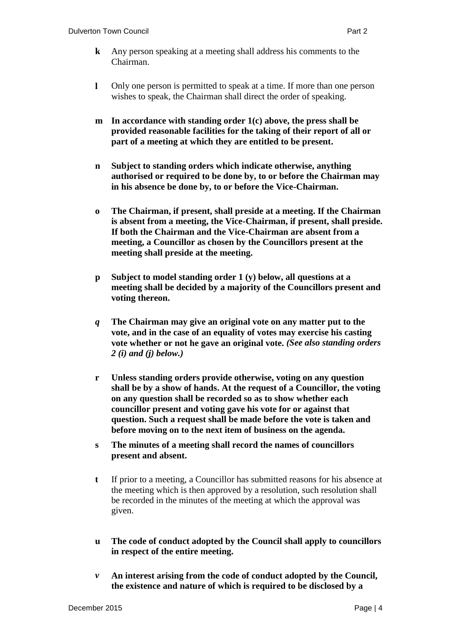- **k** Any person speaking at a meeting shall address his comments to the Chairman.
- **l** Only one person is permitted to speak at a time. If more than one person wishes to speak, the Chairman shall direct the order of speaking.
- **m In accordance with standing order 1(c) above, the press shall be provided reasonable facilities for the taking of their report of all or part of a meeting at which they are entitled to be present.**
- **n Subject to standing orders which indicate otherwise, anything authorised or required to be done by, to or before the Chairman may in his absence be done by, to or before the Vice-Chairman.**
- **o The Chairman, if present, shall preside at a meeting. If the Chairman is absent from a meeting, the Vice-Chairman, if present, shall preside. If both the Chairman and the Vice-Chairman are absent from a meeting, a Councillor as chosen by the Councillors present at the meeting shall preside at the meeting.**
- **p Subject to model standing order 1 (y) below, all questions at a meeting shall be decided by a majority of the Councillors present and voting thereon.**
- *q* **The Chairman may give an original vote on any matter put to the vote, and in the case of an equality of votes may exercise his casting vote whether or not he gave an original vote.** *(See also standing orders 2 (i) and (j) below.)*
- **r Unless standing orders provide otherwise, voting on any question shall be by a show of hands. At the request of a Councillor, the voting on any question shall be recorded so as to show whether each councillor present and voting gave his vote for or against that question. Such a request shall be made before the vote is taken and before moving on to the next item of business on the agenda.**
- **s The minutes of a meeting shall record the names of councillors present and absent.**
- **t** If prior to a meeting, a Councillor has submitted reasons for his absence at the meeting which is then approved by a resolution, such resolution shall be recorded in the minutes of the meeting at which the approval was given.
- **u The code of conduct adopted by the Council shall apply to councillors in respect of the entire meeting.**
- *v* **An interest arising from the code of conduct adopted by the Council, the existence and nature of which is required to be disclosed by a**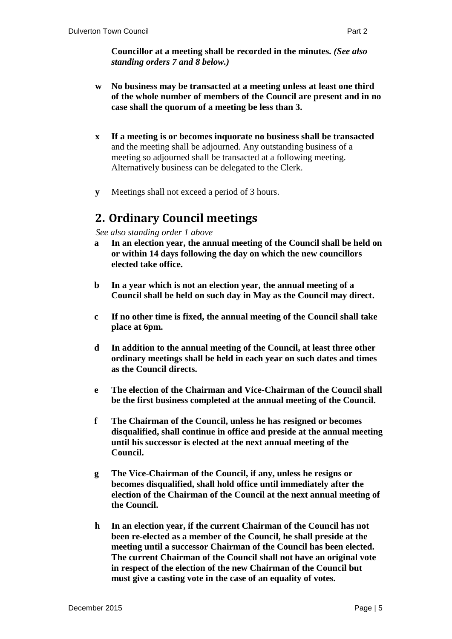- **w No business may be transacted at a meeting unless at least one third of the whole number of members of the Council are present and in no case shall the quorum of a meeting be less than 3.**
- **x If a meeting is or becomes inquorate no business shall be transacted** and the meeting shall be adjourned. Any outstanding business of a meeting so adjourned shall be transacted at a following meeting. Alternatively business can be delegated to the Clerk.
- **y** Meetings shall not exceed a period of 3 hours.

### <span id="page-5-0"></span>**2. Ordinary Council meetings**

*See also standing order 1 above*

- **a In an election year, the annual meeting of the Council shall be held on or within 14 days following the day on which the new councillors elected take office.**
- **b In a year which is not an election year, the annual meeting of a Council shall be held on such day in May as the Council may direct.**
- **c If no other time is fixed, the annual meeting of the Council shall take place at 6pm.**
- **d In addition to the annual meeting of the Council, at least three other ordinary meetings shall be held in each year on such dates and times as the Council directs.**
- **e The election of the Chairman and Vice-Chairman of the Council shall be the first business completed at the annual meeting of the Council.**
- **f The Chairman of the Council, unless he has resigned or becomes disqualified, shall continue in office and preside at the annual meeting until his successor is elected at the next annual meeting of the Council.**
- **g The Vice-Chairman of the Council, if any, unless he resigns or becomes disqualified, shall hold office until immediately after the election of the Chairman of the Council at the next annual meeting of the Council.**
- **h In an election year, if the current Chairman of the Council has not been re-elected as a member of the Council, he shall preside at the meeting until a successor Chairman of the Council has been elected. The current Chairman of the Council shall not have an original vote in respect of the election of the new Chairman of the Council but must give a casting vote in the case of an equality of votes.**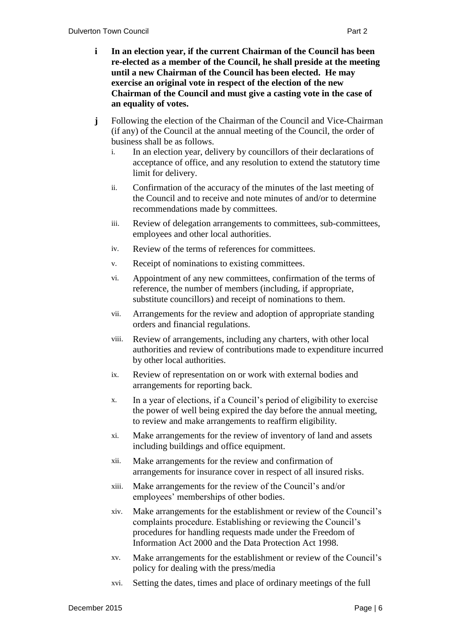- **i In an election year, if the current Chairman of the Council has been re-elected as a member of the Council, he shall preside at the meeting until a new Chairman of the Council has been elected. He may exercise an original vote in respect of the election of the new Chairman of the Council and must give a casting vote in the case of an equality of votes.**
- **j** Following the election of the Chairman of the Council and Vice-Chairman (if any) of the Council at the annual meeting of the Council, the order of business shall be as follows.
	- i. In an election year, delivery by councillors of their declarations of acceptance of office, and any resolution to extend the statutory time limit for delivery.
	- ii. Confirmation of the accuracy of the minutes of the last meeting of the Council and to receive and note minutes of and/or to determine recommendations made by committees.
	- iii. Review of delegation arrangements to committees, sub-committees, employees and other local authorities.
	- iv. Review of the terms of references for committees.
	- v. Receipt of nominations to existing committees.
	- vi. Appointment of any new committees, confirmation of the terms of reference, the number of members (including, if appropriate, substitute councillors) and receipt of nominations to them.
	- vii. Arrangements for the review and adoption of appropriate standing orders and financial regulations.
	- viii. Review of arrangements, including any charters, with other local authorities and review of contributions made to expenditure incurred by other local authorities.
	- ix. Review of representation on or work with external bodies and arrangements for reporting back.
	- x. In a year of elections, if a Council's period of eligibility to exercise the power of well being expired the day before the annual meeting, to review and make arrangements to reaffirm eligibility.
	- xi. Make arrangements for the review of inventory of land and assets including buildings and office equipment.
	- xii. Make arrangements for the review and confirmation of arrangements for insurance cover in respect of all insured risks.
	- xiii. Make arrangements for the review of the Council's and/or employees' memberships of other bodies.
	- xiv. Make arrangements for the establishment or review of the Council's complaints procedure. Establishing or reviewing the Council's procedures for handling requests made under the Freedom of Information Act 2000 and the Data Protection Act 1998.
	- xv. Make arrangements for the establishment or review of the Council's policy for dealing with the press/media
	- xvi. Setting the dates, times and place of ordinary meetings of the full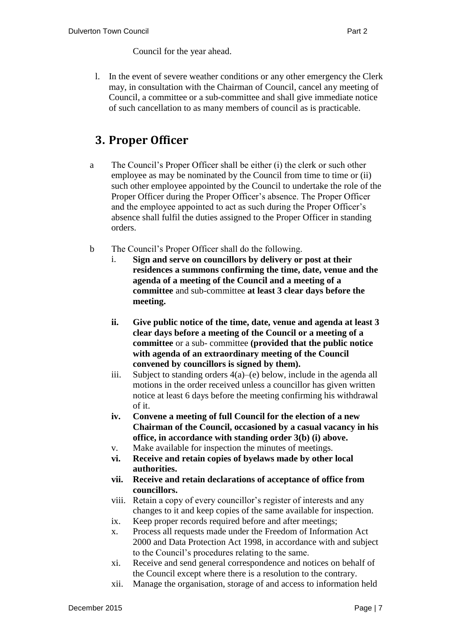Council for the year ahead.

l. In the event of severe weather conditions or any other emergency the Clerk may, in consultation with the Chairman of Council, cancel any meeting of Council, a committee or a sub-committee and shall give immediate notice of such cancellation to as many members of council as is practicable.

## <span id="page-7-0"></span>**3. Proper Officer**

- a The Council's Proper Officer shall be either (i) the clerk or such other employee as may be nominated by the Council from time to time or (ii) such other employee appointed by the Council to undertake the role of the Proper Officer during the Proper Officer's absence. The Proper Officer and the employee appointed to act as such during the Proper Officer's absence shall fulfil the duties assigned to the Proper Officer in standing orders.
- b The Council's Proper Officer shall do the following.
	- i. **Sign and serve on councillors by delivery or post at their residences a summons confirming the time, date, venue and the agenda of a meeting of the Council and a meeting of a committee** and sub-committee **at least 3 clear days before the meeting.**
	- **ii. Give public notice of the time, date, venue and agenda at least 3 clear days before a meeting of the Council or a meeting of a committee** or a sub- committee **(provided that the public notice with agenda of an extraordinary meeting of the Council convened by councillors is signed by them).**
	- iii. Subject to standing orders  $4(a)$ –(e) below, include in the agenda all motions in the order received unless a councillor has given written notice at least 6 days before the meeting confirming his withdrawal of it.
	- **iv. Convene a meeting of full Council for the election of a new Chairman of the Council, occasioned by a casual vacancy in his office, in accordance with standing order 3(b) (i) above.**
	- v. Make available for inspection the minutes of meetings.
	- **vi. Receive and retain copies of byelaws made by other local authorities.**
	- **vii. Receive and retain declarations of acceptance of office from councillors.**
	- viii. Retain a copy of every councillor's register of interests and any changes to it and keep copies of the same available for inspection.
	- ix. Keep proper records required before and after meetings;
	- x. Process all requests made under the Freedom of Information Act 2000 and Data Protection Act 1998, in accordance with and subject to the Council's procedures relating to the same.
	- xi. Receive and send general correspondence and notices on behalf of the Council except where there is a resolution to the contrary.
	- xii. Manage the organisation, storage of and access to information held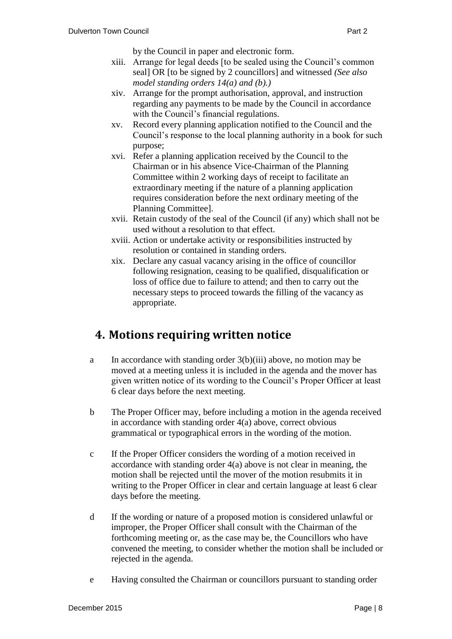by the Council in paper and electronic form.

- xiii. Arrange for legal deeds [to be sealed using the Council's common seal] OR [to be signed by 2 councillors] and witnessed *(See also model standing orders 14(a) and (b).)*
- xiv. Arrange for the prompt authorisation, approval, and instruction regarding any payments to be made by the Council in accordance with the Council's financial regulations.
- xv. Record every planning application notified to the Council and the Council's response to the local planning authority in a book for such purpose;
- xvi. Refer a planning application received by the Council to the Chairman or in his absence Vice-Chairman of the Planning Committee within 2 working days of receipt to facilitate an extraordinary meeting if the nature of a planning application requires consideration before the next ordinary meeting of the Planning Committee].
- xvii. Retain custody of the seal of the Council (if any) which shall not be used without a resolution to that effect.
- xviii. Action or undertake activity or responsibilities instructed by resolution or contained in standing orders.
- xix. Declare any casual vacancy arising in the office of councillor following resignation, ceasing to be qualified, disqualification or loss of office due to failure to attend; and then to carry out the necessary steps to proceed towards the filling of the vacancy as appropriate.

### <span id="page-8-0"></span>**4. Motions requiring written notice**

- a In accordance with standing order 3(b)(iii) above, no motion may be moved at a meeting unless it is included in the agenda and the mover has given written notice of its wording to the Council's Proper Officer at least 6 clear days before the next meeting.
- b The Proper Officer may, before including a motion in the agenda received in accordance with standing order 4(a) above, correct obvious grammatical or typographical errors in the wording of the motion.
- c If the Proper Officer considers the wording of a motion received in accordance with standing order 4(a) above is not clear in meaning, the motion shall be rejected until the mover of the motion resubmits it in writing to the Proper Officer in clear and certain language at least 6 clear days before the meeting.
- d If the wording or nature of a proposed motion is considered unlawful or improper, the Proper Officer shall consult with the Chairman of the forthcoming meeting or, as the case may be, the Councillors who have convened the meeting, to consider whether the motion shall be included or rejected in the agenda.
- e Having consulted the Chairman or councillors pursuant to standing order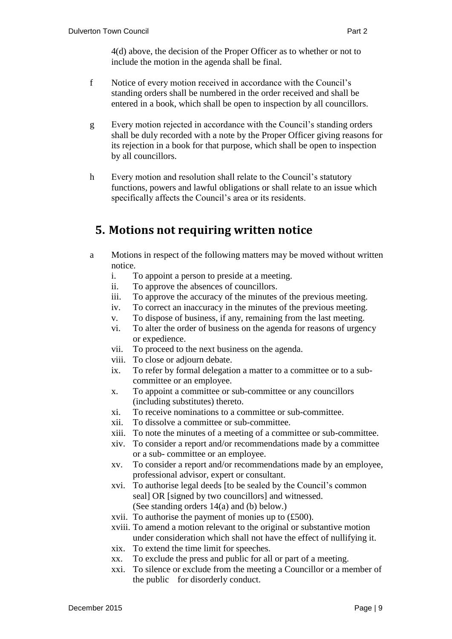4(d) above, the decision of the Proper Officer as to whether or not to include the motion in the agenda shall be final.

- f Notice of every motion received in accordance with the Council's standing orders shall be numbered in the order received and shall be entered in a book, which shall be open to inspection by all councillors.
- g Every motion rejected in accordance with the Council's standing orders shall be duly recorded with a note by the Proper Officer giving reasons for its rejection in a book for that purpose, which shall be open to inspection by all councillors.
- h Every motion and resolution shall relate to the Council's statutory functions, powers and lawful obligations or shall relate to an issue which specifically affects the Council's area or its residents.

#### <span id="page-9-0"></span>**5. Motions not requiring written notice**

- a Motions in respect of the following matters may be moved without written notice.
	- i. To appoint a person to preside at a meeting.
	- ii. To approve the absences of councillors.
	- iii. To approve the accuracy of the minutes of the previous meeting.
	- iv. To correct an inaccuracy in the minutes of the previous meeting.
	- v. To dispose of business, if any, remaining from the last meeting.
	- vi. To alter the order of business on the agenda for reasons of urgency or expedience.
	- vii. To proceed to the next business on the agenda.
	- viii. To close or adjourn debate.
	- ix. To refer by formal delegation a matter to a committee or to a subcommittee or an employee.
	- x. To appoint a committee or sub-committee or any councillors (including substitutes) thereto.
	- xi. To receive nominations to a committee or sub-committee.
	- xii. To dissolve a committee or sub-committee.
	- xiii. To note the minutes of a meeting of a committee or sub-committee.
	- xiv. To consider a report and/or recommendations made by a committee or a sub- committee or an employee.
	- xv. To consider a report and/or recommendations made by an employee, professional advisor, expert or consultant.
	- xvi. To authorise legal deeds [to be sealed by the Council's common seal] OR [signed by two councillors] and witnessed. (See standing orders 14(a) and (b) below.)
	- xvii. To authorise the payment of monies up to (£500).
	- xviii. To amend a motion relevant to the original or substantive motion under consideration which shall not have the effect of nullifying it.
	- xix. To extend the time limit for speeches.
	- xx. To exclude the press and public for all or part of a meeting.
	- xxi. To silence or exclude from the meeting a Councillor or a member of the public for disorderly conduct.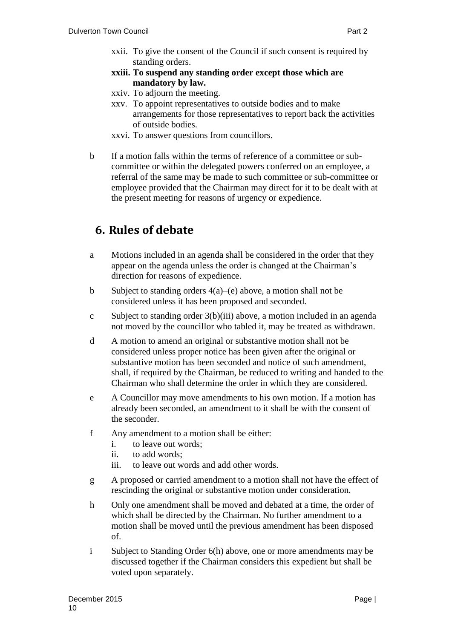- xxii. To give the consent of the Council if such consent is required by standing orders.
- **xxiii. To suspend any standing order except those which are mandatory by law.**
- xxiv. To adjourn the meeting.
- xxv. To appoint representatives to outside bodies and to make arrangements for those representatives to report back the activities of outside bodies.
- xxvi. To answer questions from councillors.
- b If a motion falls within the terms of reference of a committee or subcommittee or within the delegated powers conferred on an employee, a referral of the same may be made to such committee or sub-committee or employee provided that the Chairman may direct for it to be dealt with at the present meeting for reasons of urgency or expedience.

# <span id="page-10-0"></span>**6. Rules of debate**

- a Motions included in an agenda shall be considered in the order that they appear on the agenda unless the order is changed at the Chairman's direction for reasons of expedience.
- b Subject to standing orders 4(a)–(e) above, a motion shall not be considered unless it has been proposed and seconded.
- c Subject to standing order 3(b)(iii) above, a motion included in an agenda not moved by the councillor who tabled it, may be treated as withdrawn.
- d A motion to amend an original or substantive motion shall not be considered unless proper notice has been given after the original or substantive motion has been seconded and notice of such amendment, shall, if required by the Chairman, be reduced to writing and handed to the Chairman who shall determine the order in which they are considered.
- e A Councillor may move amendments to his own motion. If a motion has already been seconded, an amendment to it shall be with the consent of the seconder.
- f Any amendment to a motion shall be either:
	- i. to leave out words;
	- ii. to add words;
	- iii. to leave out words and add other words.
- g A proposed or carried amendment to a motion shall not have the effect of rescinding the original or substantive motion under consideration.
- h Only one amendment shall be moved and debated at a time, the order of which shall be directed by the Chairman. No further amendment to a motion shall be moved until the previous amendment has been disposed of.
- i Subject to Standing Order 6(h) above, one or more amendments may be discussed together if the Chairman considers this expedient but shall be voted upon separately.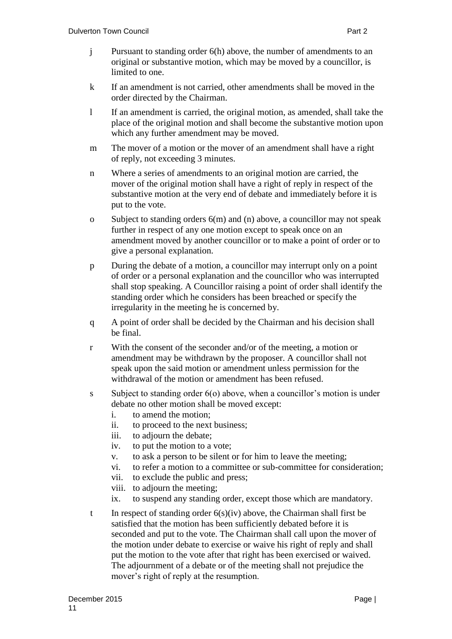- j Pursuant to standing order 6(h) above, the number of amendments to an original or substantive motion, which may be moved by a councillor, is limited to one.
- k If an amendment is not carried, other amendments shall be moved in the order directed by the Chairman.
- l If an amendment is carried, the original motion, as amended, shall take the place of the original motion and shall become the substantive motion upon which any further amendment may be moved.
- m The mover of a motion or the mover of an amendment shall have a right of reply, not exceeding 3 minutes.
- n Where a series of amendments to an original motion are carried, the mover of the original motion shall have a right of reply in respect of the substantive motion at the very end of debate and immediately before it is put to the vote.
- o Subject to standing orders 6(m) and (n) above, a councillor may not speak further in respect of any one motion except to speak once on an amendment moved by another councillor or to make a point of order or to give a personal explanation.
- p During the debate of a motion, a councillor may interrupt only on a point of order or a personal explanation and the councillor who was interrupted shall stop speaking. A Councillor raising a point of order shall identify the standing order which he considers has been breached or specify the irregularity in the meeting he is concerned by.
- q A point of order shall be decided by the Chairman and his decision shall be final.
- r With the consent of the seconder and/or of the meeting, a motion or amendment may be withdrawn by the proposer. A councillor shall not speak upon the said motion or amendment unless permission for the withdrawal of the motion or amendment has been refused.
- s Subject to standing order  $6(0)$  above, when a councillor's motion is under debate no other motion shall be moved except:
	- i. to amend the motion;
	- ii. to proceed to the next business;
	- iii. to adjourn the debate;
	- iv. to put the motion to a vote;
	- v. to ask a person to be silent or for him to leave the meeting;
	- vi. to refer a motion to a committee or sub-committee for consideration;
	- vii. to exclude the public and press;
	- viii. to adjourn the meeting;
	- ix. to suspend any standing order, except those which are mandatory.
- t In respect of standing order  $6(s)(iv)$  above, the Chairman shall first be satisfied that the motion has been sufficiently debated before it is seconded and put to the vote. The Chairman shall call upon the mover of the motion under debate to exercise or waive his right of reply and shall put the motion to the vote after that right has been exercised or waived. The adjournment of a debate or of the meeting shall not prejudice the mover's right of reply at the resumption.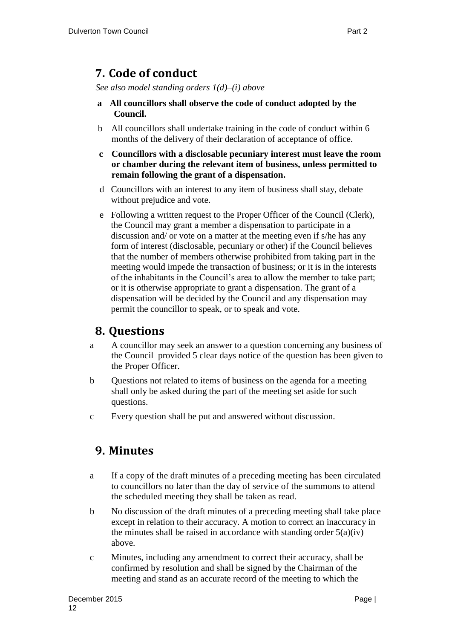## <span id="page-12-0"></span>**7. Code of conduct**

*See also model standing orders 1(d)–(i) above* 

- **a All councillors shall observe the code of conduct adopted by the Council.**
- b All councillors shall undertake training in the code of conduct within 6 months of the delivery of their declaration of acceptance of office.
- **c Councillors with a disclosable pecuniary interest must leave the room or chamber during the relevant item of business, unless permitted to remain following the grant of a dispensation.**
- d Councillors with an interest to any item of business shall stay, debate without prejudice and vote.
- e Following a written request to the Proper Officer of the Council (Clerk), the Council may grant a member a dispensation to participate in a discussion and/ or vote on a matter at the meeting even if s/he has any form of interest (disclosable, pecuniary or other) if the Council believes that the number of members otherwise prohibited from taking part in the meeting would impede the transaction of business; or it is in the interests of the inhabitants in the Council's area to allow the member to take part; or it is otherwise appropriate to grant a dispensation. The grant of a dispensation will be decided by the Council and any dispensation may permit the councillor to speak, or to speak and vote.

### <span id="page-12-1"></span>**8. Questions**

- a A councillor may seek an answer to a question concerning any business of the Council provided 5 clear days notice of the question has been given to the Proper Officer.
- b Questions not related to items of business on the agenda for a meeting shall only be asked during the part of the meeting set aside for such questions.
- c Every question shall be put and answered without discussion.

### <span id="page-12-2"></span>**9. Minutes**

- a If a copy of the draft minutes of a preceding meeting has been circulated to councillors no later than the day of service of the summons to attend the scheduled meeting they shall be taken as read.
- b No discussion of the draft minutes of a preceding meeting shall take place except in relation to their accuracy. A motion to correct an inaccuracy in the minutes shall be raised in accordance with standing order  $5(a)(iv)$ above.
- c Minutes, including any amendment to correct their accuracy, shall be confirmed by resolution and shall be signed by the Chairman of the meeting and stand as an accurate record of the meeting to which the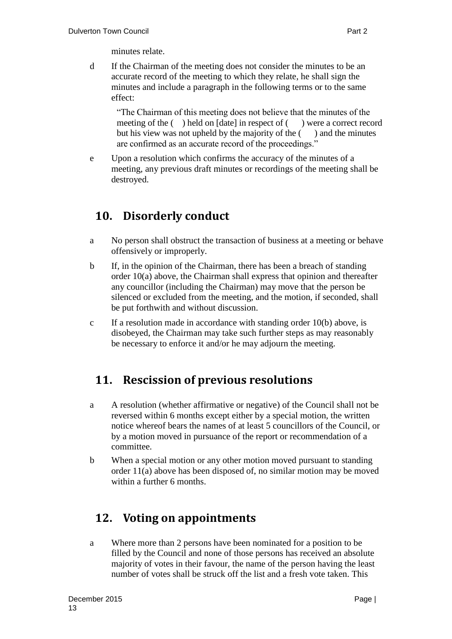d If the Chairman of the meeting does not consider the minutes to be an accurate record of the meeting to which they relate, he shall sign the minutes and include a paragraph in the following terms or to the same effect:

"The Chairman of this meeting does not believe that the minutes of the meeting of the () held on [date] in respect of () were a correct record but his view was not upheld by the majority of the  $($ ) and the minutes are confirmed as an accurate record of the proceedings."

e Upon a resolution which confirms the accuracy of the minutes of a meeting, any previous draft minutes or recordings of the meeting shall be destroyed.

# <span id="page-13-0"></span>**10. Disorderly conduct**

- a No person shall obstruct the transaction of business at a meeting or behave offensively or improperly.
- b If, in the opinion of the Chairman, there has been a breach of standing order 10(a) above, the Chairman shall express that opinion and thereafter any councillor (including the Chairman) may move that the person be silenced or excluded from the meeting, and the motion, if seconded, shall be put forthwith and without discussion.
- c If a resolution made in accordance with standing order 10(b) above, is disobeyed, the Chairman may take such further steps as may reasonably be necessary to enforce it and/or he may adjourn the meeting.

## <span id="page-13-1"></span>**11. Rescission of previous resolutions**

- a A resolution (whether affirmative or negative) of the Council shall not be reversed within 6 months except either by a special motion, the written notice whereof bears the names of at least 5 councillors of the Council, or by a motion moved in pursuance of the report or recommendation of a committee.
- b When a special motion or any other motion moved pursuant to standing order 11(a) above has been disposed of, no similar motion may be moved within a further 6 months.

# <span id="page-13-2"></span>**12. Voting on appointments**

a Where more than 2 persons have been nominated for a position to be filled by the Council and none of those persons has received an absolute majority of votes in their favour, the name of the person having the least number of votes shall be struck off the list and a fresh vote taken. This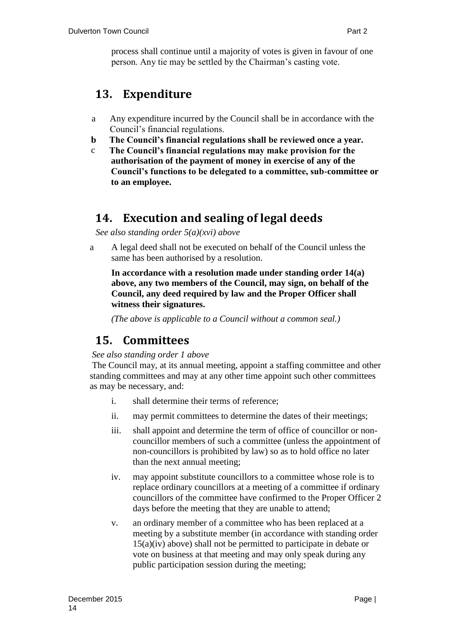process shall continue until a majority of votes is given in favour of one person. Any tie may be settled by the Chairman's casting vote.

## <span id="page-14-0"></span>**13. Expenditure**

- a Any expenditure incurred by the Council shall be in accordance with the Council's financial regulations.
- **b The Council's financial regulations shall be reviewed once a year.**
- c **The Council's financial regulations may make provision for the authorisation of the payment of money in exercise of any of the Council's functions to be delegated to a committee, sub-committee or to an employee.**

## <span id="page-14-1"></span>**14. Execution and sealing of legal deeds**

*See also standing order 5(a)(xvi) above*

a A legal deed shall not be executed on behalf of the Council unless the same has been authorised by a resolution.

**In accordance with a resolution made under standing order 14(a) above, any two members of the Council, may sign, on behalf of the Council, any deed required by law and the Proper Officer shall witness their signatures.**

*(The above is applicable to a Council without a common seal.)*

## <span id="page-14-2"></span>**15. Committees**

#### *See also standing order 1 above*

The Council may, at its annual meeting, appoint a staffing committee and other standing committees and may at any other time appoint such other committees as may be necessary, and:

- i. shall determine their terms of reference;
- ii. may permit committees to determine the dates of their meetings;
- iii. shall appoint and determine the term of office of councillor or noncouncillor members of such a committee (unless the appointment of non-councillors is prohibited by law) so as to hold office no later than the next annual meeting;
- iv. may appoint substitute councillors to a committee whose role is to replace ordinary councillors at a meeting of a committee if ordinary councillors of the committee have confirmed to the Proper Officer 2 days before the meeting that they are unable to attend;
- v. an ordinary member of a committee who has been replaced at a meeting by a substitute member (in accordance with standing order 15(a)(iv) above) shall not be permitted to participate in debate or vote on business at that meeting and may only speak during any public participation session during the meeting;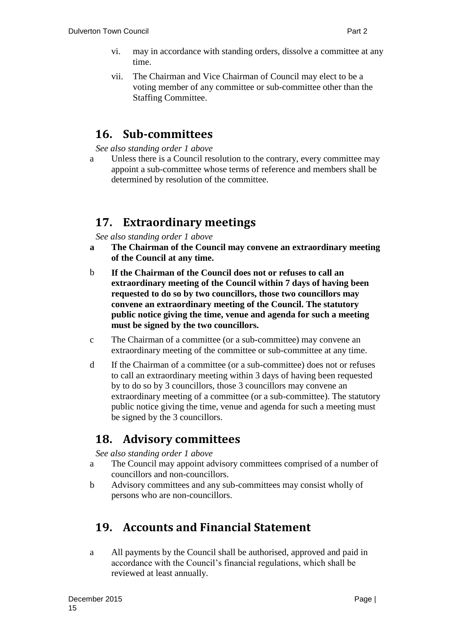- vi. may in accordance with standing orders, dissolve a committee at any time.
- vii. The Chairman and Vice Chairman of Council may elect to be a voting member of any committee or sub-committee other than the Staffing Committee.

#### <span id="page-15-0"></span>**16. Sub-committees**

*See also standing order 1 above*

a Unless there is a Council resolution to the contrary, every committee may appoint a sub-committee whose terms of reference and members shall be determined by resolution of the committee.

### <span id="page-15-1"></span>**17. Extraordinary meetings**

*See also standing order 1 above*

- **a The Chairman of the Council may convene an extraordinary meeting of the Council at any time.**
- b **If the Chairman of the Council does not or refuses to call an extraordinary meeting of the Council within 7 days of having been requested to do so by two councillors, those two councillors may convene an extraordinary meeting of the Council. The statutory public notice giving the time, venue and agenda for such a meeting must be signed by the two councillors.**
- c The Chairman of a committee (or a sub-committee) may convene an extraordinary meeting of the committee or sub-committee at any time.
- d If the Chairman of a committee (or a sub-committee) does not or refuses to call an extraordinary meeting within 3 days of having been requested by to do so by 3 councillors, those 3 councillors may convene an extraordinary meeting of a committee (or a sub-committee). The statutory public notice giving the time, venue and agenda for such a meeting must be signed by the 3 councillors.

### <span id="page-15-2"></span>**18. Advisory committees**

*See also standing order 1 above*

- a The Council may appoint advisory committees comprised of a number of councillors and non-councillors.
- b Advisory committees and any sub-committees may consist wholly of persons who are non-councillors.

## <span id="page-15-3"></span>**19. Accounts and Financial Statement**

a All payments by the Council shall be authorised, approved and paid in accordance with the Council's financial regulations, which shall be reviewed at least annually.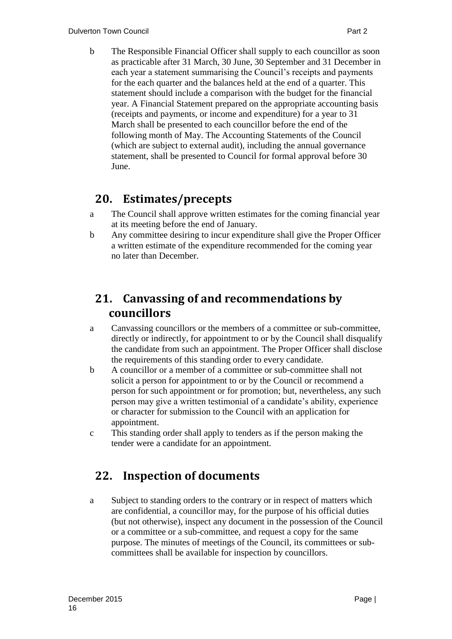b The Responsible Financial Officer shall supply to each councillor as soon as practicable after 31 March, 30 June, 30 September and 31 December in each year a statement summarising the Council's receipts and payments for the each quarter and the balances held at the end of a quarter. This statement should include a comparison with the budget for the financial year. A Financial Statement prepared on the appropriate accounting basis (receipts and payments, or income and expenditure) for a year to 31 March shall be presented to each councillor before the end of the following month of May. The Accounting Statements of the Council (which are subject to external audit), including the annual governance statement, shall be presented to Council for formal approval before 30 June.

## <span id="page-16-0"></span>**20. Estimates/precepts**

- a The Council shall approve written estimates for the coming financial year at its meeting before the end of January.
- b Any committee desiring to incur expenditure shall give the Proper Officer a written estimate of the expenditure recommended for the coming year no later than December.

## <span id="page-16-1"></span>**21. Canvassing of and recommendations by councillors**

- a Canvassing councillors or the members of a committee or sub-committee, directly or indirectly, for appointment to or by the Council shall disqualify the candidate from such an appointment. The Proper Officer shall disclose the requirements of this standing order to every candidate.
- b A councillor or a member of a committee or sub-committee shall not solicit a person for appointment to or by the Council or recommend a person for such appointment or for promotion; but, nevertheless, any such person may give a written testimonial of a candidate's ability, experience or character for submission to the Council with an application for appointment.
- c This standing order shall apply to tenders as if the person making the tender were a candidate for an appointment.

# <span id="page-16-2"></span>**22. Inspection of documents**

a Subject to standing orders to the contrary or in respect of matters which are confidential, a councillor may, for the purpose of his official duties (but not otherwise), inspect any document in the possession of the Council or a committee or a sub-committee, and request a copy for the same purpose. The minutes of meetings of the Council, its committees or subcommittees shall be available for inspection by councillors.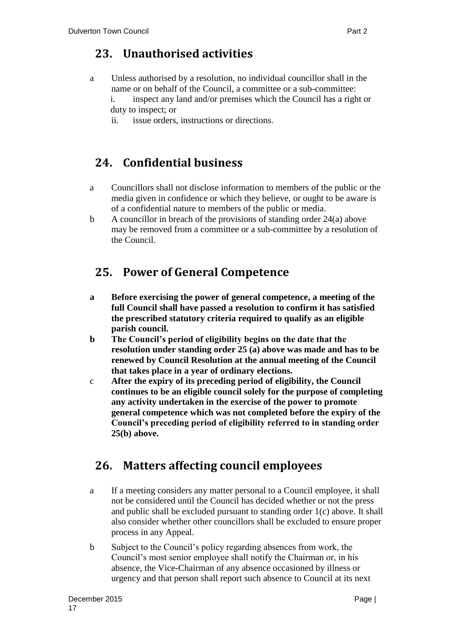## <span id="page-17-0"></span>**23. Unauthorised activities**

- a Unless authorised by a resolution, no individual councillor shall in the name or on behalf of the Council, a committee or a sub-committee:
	- i. inspect any land and/or premises which the Council has a right or duty to inspect; or
	- ii. issue orders, instructions or directions.

## <span id="page-17-1"></span>**24. Confidential business**

- a Councillors shall not disclose information to members of the public or the media given in confidence or which they believe, or ought to be aware is of a confidential nature to members of the public or media.
- b A councillor in breach of the provisions of standing order 24(a) above may be removed from a committee or a sub-committee by a resolution of the Council.

## <span id="page-17-2"></span>**25. Power of General Competence**

- **a Before exercising the power of general competence, a meeting of the full Council shall have passed a resolution to confirm it has satisfied the prescribed statutory criteria required to qualify as an eligible parish council.**
- **b The Council's period of eligibility begins on the date that the resolution under standing order 25 (a) above was made and has to be renewed by Council Resolution at the annual meeting of the Council that takes place in a year of ordinary elections.**
- c **After the expiry of its preceding period of eligibility, the Council continues to be an eligible council solely for the purpose of completing any activity undertaken in the exercise of the power to promote general competence which was not completed before the expiry of the Council's preceding period of eligibility referred to in standing order 25(b) above.**

## <span id="page-17-3"></span>**26. Matters affecting council employees**

- a If a meeting considers any matter personal to a Council employee, it shall not be considered until the Council has decided whether or not the press and public shall be excluded pursuant to standing order 1(c) above. It shall also consider whether other councillors shall be excluded to ensure proper process in any Appeal.
- b Subject to the Council's policy regarding absences from work, the Council's most senior employee shall notify the Chairman or, in his absence, the Vice-Chairman of any absence occasioned by illness or urgency and that person shall report such absence to Council at its next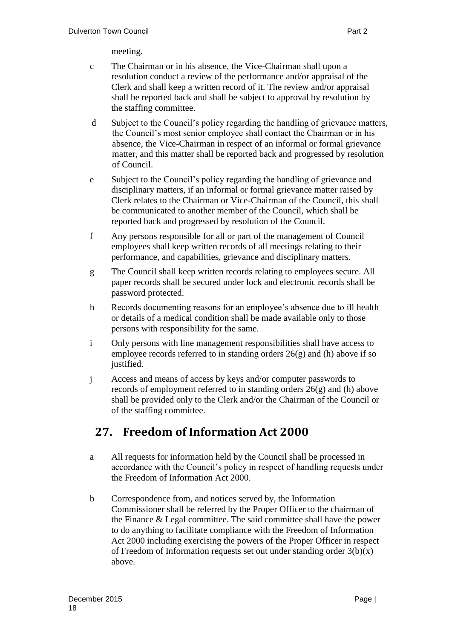meeting.

- c The Chairman or in his absence, the Vice-Chairman shall upon a resolution conduct a review of the performance and/or appraisal of the Clerk and shall keep a written record of it. The review and/or appraisal shall be reported back and shall be subject to approval by resolution by the staffing committee.
- d Subject to the Council's policy regarding the handling of grievance matters, the Council's most senior employee shall contact the Chairman or in his absence, the Vice-Chairman in respect of an informal or formal grievance matter, and this matter shall be reported back and progressed by resolution of Council.
- e Subject to the Council's policy regarding the handling of grievance and disciplinary matters, if an informal or formal grievance matter raised by Clerk relates to the Chairman or Vice-Chairman of the Council, this shall be communicated to another member of the Council, which shall be reported back and progressed by resolution of the Council.
- f Any persons responsible for all or part of the management of Council employees shall keep written records of all meetings relating to their performance, and capabilities, grievance and disciplinary matters.
- g The Council shall keep written records relating to employees secure. All paper records shall be secured under lock and electronic records shall be password protected.
- h Records documenting reasons for an employee's absence due to ill health or details of a medical condition shall be made available only to those persons with responsibility for the same.
- i Only persons with line management responsibilities shall have access to employee records referred to in standing orders  $26(g)$  and (h) above if so justified.
- j Access and means of access by keys and/or computer passwords to records of employment referred to in standing orders 26(g) and (h) above shall be provided only to the Clerk and/or the Chairman of the Council or of the staffing committee.

## <span id="page-18-0"></span>**27. Freedom of Information Act 2000**

- a All requests for information held by the Council shall be processed in accordance with the Council's policy in respect of handling requests under the Freedom of Information Act 2000.
- b Correspondence from, and notices served by, the Information Commissioner shall be referred by the Proper Officer to the chairman of the Finance & Legal committee. The said committee shall have the power to do anything to facilitate compliance with the Freedom of Information Act 2000 including exercising the powers of the Proper Officer in respect of Freedom of Information requests set out under standing order  $3(b)(x)$ above.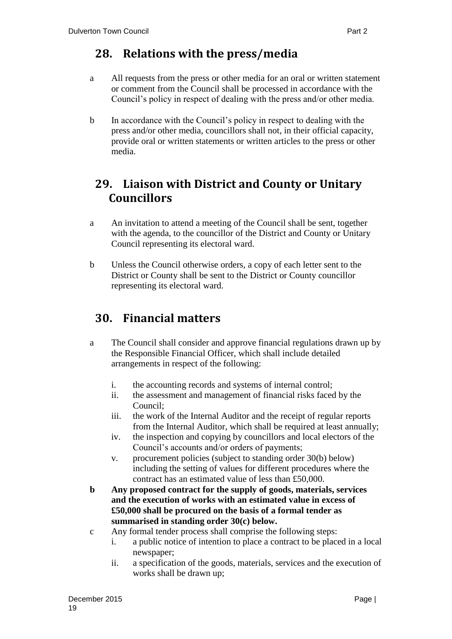## <span id="page-19-0"></span>**28. Relations with the press/media**

- a All requests from the press or other media for an oral or written statement or comment from the Council shall be processed in accordance with the Council's policy in respect of dealing with the press and/or other media.
- b In accordance with the Council's policy in respect to dealing with the press and/or other media, councillors shall not, in their official capacity, provide oral or written statements or written articles to the press or other media.

## <span id="page-19-1"></span>**29. Liaison with District and County or Unitary Councillors**

- a An invitation to attend a meeting of the Council shall be sent, together with the agenda, to the councillor of the District and County or Unitary Council representing its electoral ward.
- b Unless the Council otherwise orders, a copy of each letter sent to the District or County shall be sent to the District or County councillor representing its electoral ward.

## <span id="page-19-2"></span>**30. Financial matters**

- a The Council shall consider and approve financial regulations drawn up by the Responsible Financial Officer, which shall include detailed arrangements in respect of the following:
	- i. the accounting records and systems of internal control;
	- ii. the assessment and management of financial risks faced by the Council;
	- iii. the work of the Internal Auditor and the receipt of regular reports from the Internal Auditor, which shall be required at least annually;
	- iv. the inspection and copying by councillors and local electors of the Council's accounts and/or orders of payments;
	- v. procurement policies (subject to standing order 30(b) below) including the setting of values for different procedures where the contract has an estimated value of less than £50,000.
- **b Any proposed contract for the supply of goods, materials, services and the execution of works with an estimated value in excess of £50,000 shall be procured on the basis of a formal tender as summarised in standing order 30(c) below.**
- c Any formal tender process shall comprise the following steps:
	- i. a public notice of intention to place a contract to be placed in a local newspaper;
	- ii. a specification of the goods, materials, services and the execution of works shall be drawn up;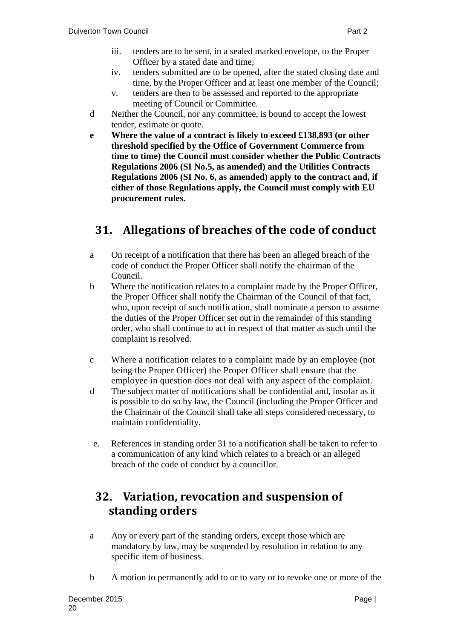- iii. tenders are to be sent, in a sealed marked envelope, to the Proper Officer by a stated date and time;
- iv. tenders submitted are to be opened, after the stated closing date and time, by the Proper Officer and at least one member of the Council;
- v. tenders are then to be assessed and reported to the appropriate meeting of Council or Committee.
- d Neither the Council, nor any committee, is bound to accept the lowest tender, estimate or quote.
- **e Where the value of a contract is likely to exceed £138,893 (or other threshold specified by the Office of Government Commerce from time to time) the Council must consider whether the Public Contracts Regulations 2006 (SI No.5, as amended) and the Utilities Contracts Regulations 2006 (SI No. 6, as amended) apply to the contract and, if either of those Regulations apply, the Council must comply with EU procurement rules.**

# <span id="page-20-0"></span>**31. Allegations of breaches of the code of conduct**

- a On receipt of a notification that there has been an alleged breach of the code of conduct the Proper Officer shall notify the chairman of the Council.
- b Where the notification relates to a complaint made by the Proper Officer, the Proper Officer shall notify the Chairman of the Council of that fact, who, upon receipt of such notification, shall nominate a person to assume the duties of the Proper Officer set out in the remainder of this standing order, who shall continue to act in respect of that matter as such until the complaint is resolved.
- c Where a notification relates to a complaint made by an employee (not being the Proper Officer) the Proper Officer shall ensure that the employee in question does not deal with any aspect of the complaint.
- d The subject matter of notifications shall be confidential and, insofar as it is possible to do so by law, the Council (including the Proper Officer and the Chairman of the Council shall take all steps considered necessary, to maintain confidentiality.
- e. References in standing order 31 to a notification shall be taken to refer to a communication of any kind which relates to a breach or an alleged breach of the code of conduct by a councillor.

## <span id="page-20-1"></span>**32. Variation, revocation and suspension of standing orders**

- a Any or every part of the standing orders, except those which are mandatory by law, may be suspended by resolution in relation to any specific item of business.
- b A motion to permanently add to or to vary or to revoke one or more of the